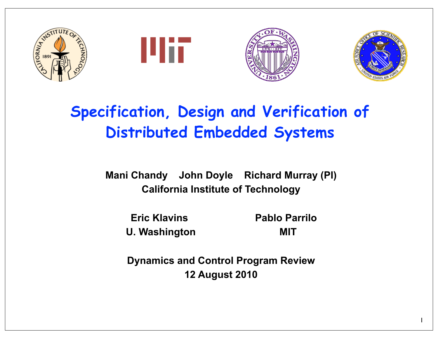







# **Specification, Design and Verification of Distributed Embedded Systems**

**Mani Chandy John Doyle Richard Murray (PI) California Institute of Technology**

 **Eric Klavins Pablo Parrilo** U. Washington **MIT** 

**Dynamics and Control Program Review 12 August 2010**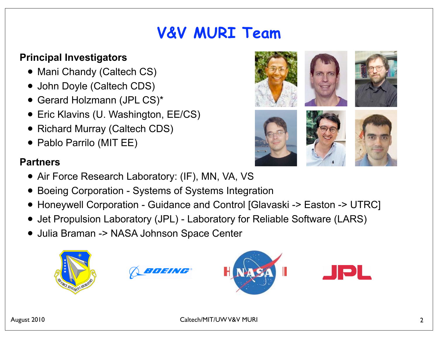# **V&V MURI Team**

## **Principal Investigators**

- Mani Chandy (Caltech CS)
- John Doyle (Caltech CDS)
- Gerard Holzmann (JPL CS)\*
- Eric Klavins (U. Washington, EE/CS)
- Richard Murray (Caltech CDS)
- Pablo Parrilo (MIT EE)

### **Partners**

- Air Force Research Laboratory: (IF), MN, VA, VS
- Boeing Corporation Systems of Systems Integration
- Honeywell Corporation Guidance and Control [Glavaski -> Easton -> UTRC]
- Jet Propulsion Laboratory (JPL) Laboratory for Reliable Software (LARS)
- Julia Braman -> NASA Johnson Space Center

















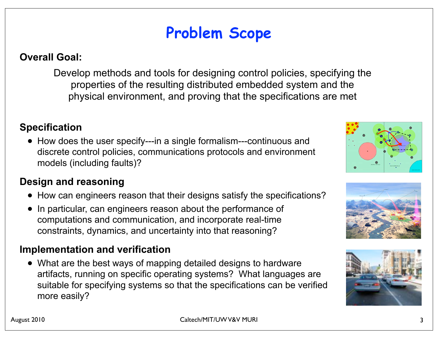# **Problem Scope**

#### **Overall Goal:**

Develop methods and tools for designing control policies, specifying the properties of the resulting distributed embedded system and the physical environment, and proving that the specifications are met

#### **Specification**

• How does the user specify---in a single formalism---continuous and discrete control policies, communications protocols and environment models (including faults)?

#### **Design and reasoning**

- How can engineers reason that their designs satisfy the specifications?
- In particular, can engineers reason about the performance of computations and communication, and incorporate real-time constraints, dynamics, and uncertainty into that reasoning?

### **Implementation and verification**

• What are the best ways of mapping detailed designs to hardware artifacts, running on specific operating systems? What languages are suitable for specifying systems so that the specifications can be verified more easily?





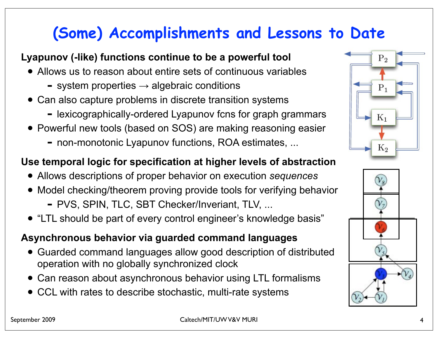# **(Some) Accomplishments and Lessons to Date**

# **Lyapunov (-like) functions continue to be a powerful tool**

- Allows us to reason about entire sets of continuous variables
	- $-$  system properties  $\rightarrow$  algebraic conditions
- Can also capture problems in discrete transition systems
	- lexicographically-ordered Lyapunov fcns for graph grammars
- Powerful new tools (based on SOS) are making reasoning easier
	- non-monotonic Lyapunov functions, ROA estimates, ...

### **Use temporal logic for specification at higher levels of abstraction**

- Allows descriptions of proper behavior on execution *sequences*
- Model checking/theorem proving provide tools for verifying behavior
	- PVS, SPIN, TLC, SBT Checker/Inveriant, TLV, ...
- "LTL should be part of every control engineer's knowledge basis"

## **Asynchronous behavior via guarded command languages**

- Guarded command languages allow good description of distributed operation with no globally synchronized clock
- Can reason about asynchronous behavior using LTL formalisms
- CCL with rates to describe stochastic, multi-rate systems



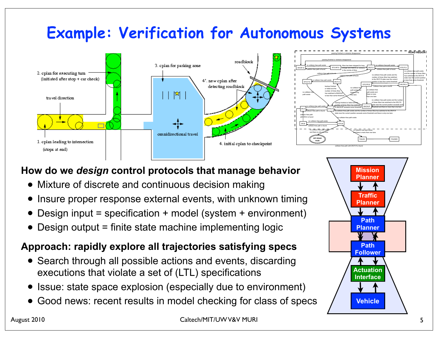# **Example: Verification for Autonomous Systems**





# **How do we** *design* **control protocols that manage behavior**

- Mixture of discrete and continuous decision making
- Insure proper response external events, with unknown timing
- Design input = specification + model (system + environment)
- Design output = finite state machine implementing logic

# **Approach: rapidly explore all trajectories satisfying specs**

- Search through all possible actions and events, discarding executions that violate a set of (LTL) specifications
- Issue: state space explosion (especially due to environment)
- Good news: recent results in model checking for class of specs

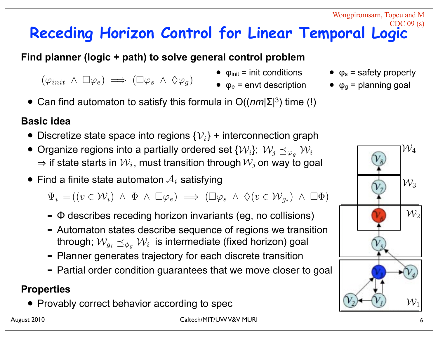#### **Receding Horizon Control for Linear Temporal Logic** CDC 09 (s)

**Find planner (logic + path) to solve general control problem**

- $(\varphi_{init} \land \Box \varphi_e) \implies (\Box \varphi_s \land \Diamond \varphi_q)$
- $\bullet$   $\varphi_{init}$  = init conditions
- $\bullet$   $\varphi_e$  = envt description
- Can find automaton to satisfy this formula in O((*nm*|Σ<sup>|</sup> 3) time (!)

### **Basic idea**

- Discretize state space into regions  $\{\mathcal{V}_i\}$  + interconnection graph
- Organize regions into a partially ordered set  $\{W_i\}$ ;  $W_j \preceq_{\varphi_g} W_i$  $\Rightarrow$  if state starts in  $\mathcal{W}_i$ , must transition through  $\mathcal{W}_j$  on way to goal
- $\bullet$  Find a finite state automaton  $\mathcal{A}_i$  satisfying

 $\Psi_i = ((v \in \mathcal{W}_i) \land \Phi \land \Box \varphi_e) \implies (\Box \varphi_s \land \Diamond (v \in \mathcal{W}_{g_i}) \land \Box \Phi)$ 

- <sup>Φ</sup> describes receding horizon invariants (eg, no collisions)
- Automaton states describe sequence of regions we transition through;  $\mathcal{W}_{g_i} \preceq_{\phi_g} \mathcal{W}_i$  is intermediate (fixed horizon) goal
- Planner generates trajectory for each discrete transition
- Partial order condition guarantees that we move closer to goal

### **Properties**

• Provably correct behavior according to spec

 ${\cal W}$ 

 $\mathcal{W}_2$ 

 $\mathcal{W}_3$ 

 $\bullet$   $\varphi_s$  = safety property

Wongpiromsarn, Topcu and M

 $\bullet$   $\varphi_{q}$  = planning goal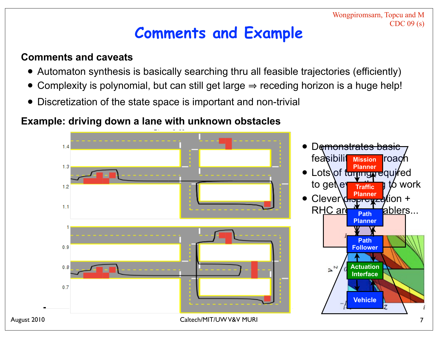Wongpiromsarn, Topcu and M CDC 09 (s)

# **Comments and Example**

### **Comments and caveats**

- Automaton synthesis is basically searching thru all feasible trajectories (efficiently)
- Complexity is polynomial, but can still get large  $\Rightarrow$  receding horizon is a huge help!
- Discretization of the state space is important and non-trivial

## **Example: driving down a lane with unknown obstacles**

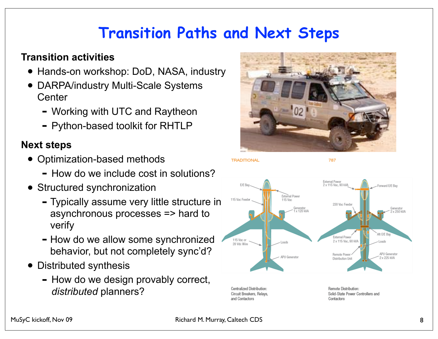# **Transition Paths and Next Steps**

### **Transition activities**

- Hands-on workshop: DoD, NASA, industry
- DARPA/industry Multi-Scale Systems **Center** 
	- Working with UTC and Raytheon
	- Python-based toolkit for RHTLP

### **Next steps**

- Optimization-based methods
	- How do we include cost in solutions?
- Structured synchronization
	- Typically assume very little structure in asynchronous processes => hard to verify
	- How do we allow some synchronized behavior, but not completely sync'd?
- Distributed synthesis
	- How do we design provably correct, *distributed* planners?



**TRADITIONAL** 

787



Circuit Breakers, Relavs, and Contactors

Solid-State Power Controllers and Contactors